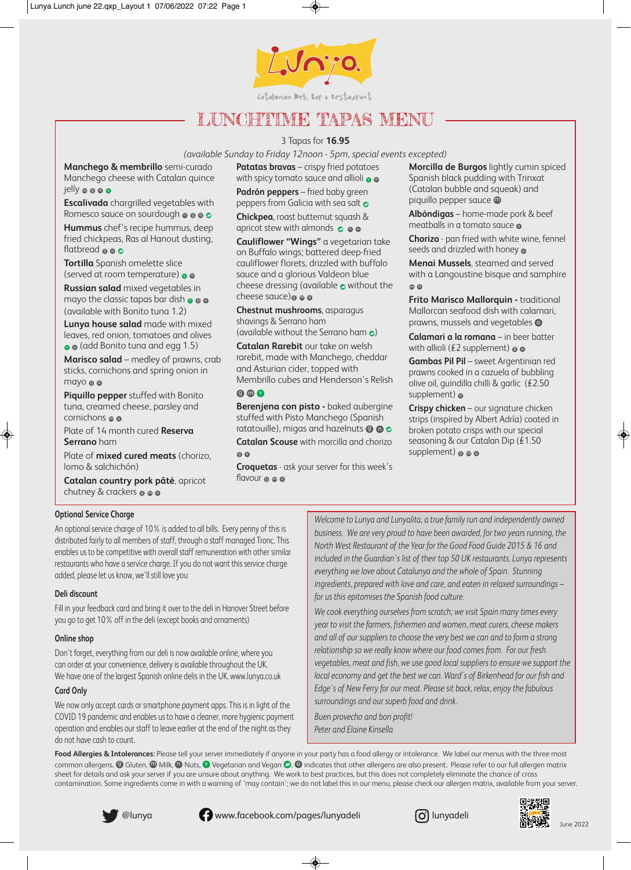

# LUNCHTIME TAPAS MENU

#### 3 Tapas for **16.95**

*(available Sunday to Friday 12noon - 5pm, special events excepted)*

**Manchego & membrillo** semi-curado Manchego cheese with Catalan quince jelly @ @ @

**Escalivada** chargrilled vegetables with Romesco sauce on sourdough **@ @ c** 

**Hummus** chef's recipe hummus, deep fried chickpeas, Ras al Hanout dusting, flatbread **@ @** 

**Tortilla** Spanish omelette slice (served at room temperature)  $\bullet$   $\bullet$ 

**Russian salad** mixed vegetables in mayo the classic tapas bar dish  $\bullet\,\bullet\,\bullet$ (available with Bonito tuna 1.2)

**Lunya house salad** made with mixed leaves, red onion, tomatoes and olives  $\bullet$   $\bullet$  (add Bonito tuna and egg 1.5)

**Marisco salad** – medley of prawns, crab sticks, cornichons and spring onion in mayo o c

**Piquillo pepper** stuffed with Bonito tuna, creamed cheese, parsley and cornichons @ c

Plate of 14 month cured **Reserva Serrano** ham

Plate of **mixed cured meats** (chorizo, lomo & salchichón)

**Catalan country pork pâté**, apricot chutney & crackers @ @ @

**Patatas bravas** – crispy fried potatoes with spicy tomato sauce and allioli  $\bullet$   $\bullet$ 

**Padrón peppers** – fried baby green peppers from Galicia with sea salt **o** 

**Chickpea**, roast butternut squash & apricot stew with almonds  $\,\circ\, \bullet\, \bullet$ 

**Cauliflower "Wings"** a vegetarian take on Buffalo wings; battered deep-fried cauliflower florets, drizzled with buffalo sauce and a glorious Valdeon blue cheese dressing (available  $\bullet$  without the cheese sauce)o o c

**Chestnut mushrooms**, asparagus shavings & Serrano ham

(available without the Serrano ham  $\epsilon$ )

**Catalan Rarebit** our take on welsh rarebit, made with Manchego, cheddar and Asturian cider, topped with Membrillo cubes and Henderson's Relish

 $\Omega$  m  $\Omega$ 

**Berenjena con pisto -** baked aubergine stuffed with Pisto Manchego (Spanish ratatouille), migas and hazelnuts  $\boldsymbol{\mathsf{\Theta}}$  **G** 

**Catalan Scouse** with morcilla and chorizo g a

**Croquetas** - ask your server for this week's flavour ๏ ๏ ๔

**Morcilla de Burgos** lightly cumin spiced Spanish black pudding with Trinxat (Catalan bubble and squeak) and piquillo pepper sauce **@** 

**Albóndigas** – home-made pork & beef meatballs in a tomato sauce  $\epsilon$ 

**Chorizo** - pan fried with white wine, fennel seeds and drizzled with honey  $\epsilon$ 

**Menai Mussels**, steamed and served with a Langoustine bisque and samphire m a

**Frito Marisco Mallorquin - traditional** Mallorcan seafood dish with calamari, prawns, mussels and vegetables **C** 

**Calamari a la romana** – in beer batter with allioli (£2 supplement)  $\boldsymbol{\mathsf{\scriptstyle{\circ}}}$   $\boldsymbol{\mathsf{\scriptstyle{\circ}}}$ 

**Gambas Pil Pil** – sweet Argentinian red prawns cooked in a cazuela of bubbling olive oil, guindilla chilli & garlic (£2.50 supplement) **c** 

**Crispy chicken** – our signature chicken strips (inspired by Albert Adría) coated in broken potato crisps with our special seasoning & our Catalan Dip (£1.50 supplement)  $\circ\circ\circ$ 

#### **Optional Service Charge**

An optional service charge of 10% is added to all bills. Every penny of this is distributed fairly to all members of staff, through a staff managed Tronc. This enables us to be competitive with overall staff remuneration with other similar restaurants who have a service charge. If you do not want this service charge added, please let us know, we'll still love you

#### **Deli discount**

Fill in your feedback card and bring it over to the deli in Hanover Street before you go to get 10% off in the deli (except books and ornaments)

#### **Online shop**

Don't forget, everything from our deli is now available online, where you can order at your convenience, delivery is available throughout the UK. We have one of the largest Spanish online delis in the UK. www.lunya.co.uk

#### **Card Only**

We now only accept cards or smartphone payment apps. This is in light of the COVID 19 pandemic and enables us to have a cleaner, more hygienic payment operation and enables our staff to leave earlier at the end of the night as they do not have cash to count.

*Welcome to Lunya and Lunyalita, a true family run and independently owned business. We are very proud to have been awarded, for two years running, the North West Restaurant of the Year for the Good Food Guide 2015 & 16 and included in the Guardian's list of their top 50 UK restaurants. Lunya represents everything we love about Catalunya and the whole of Spain. Stunning ingredients, prepared with love and care, and eaten in relaxed surroundings – for us this epitomises the Spanish food culture.*

*We cook everything ourselves from scratch; we visit Spain many times every year to visit the farmers, fishermen and women, meat curers, cheese makers and all of our suppliers to choose the very best we can and to form a strong relationship so we really know where our food comes from. For our fresh vegetables, meat and fish, we use good local suppliers to ensure we support the local economy and get the best we can. Ward's of Birkenhead for our fish and Edge's of New Ferry for our meat. Please sit back, relax, enjoy the fabulous surroundings and our superb food and drink.* 

*Buen provecho and bon profit! Peter and Elaine Kinsella*

Food Allergies & Intolerances: Please tell your server immediately if anyone in your party has a food allergy or intolerance. We label our menus with the three most common allergens.  $\bm{\Theta}$  Gluten,  $\bm{\Theta}$  Milk,  $\bm{\Theta}$  Nuts,  $\bm{\mathcal{O}}$  Vegetarian and Vegan  $\bm{\Theta}$ .  $\bm{\Theta}$  indicates that other allergens are also present. Please refer to our full allergen matrix sheet for details and ask your server if you are unsure about anything. We work to best practices, but this does not completely eliminate the chance of cross contamination. Some ingredients come in with a warning of 'may contain'; we do not label this in our menu, please check our allergen matrix, available from your server.

◈

@lunya **www.facebook.com/pages/lunyadeli** (alunyadeli